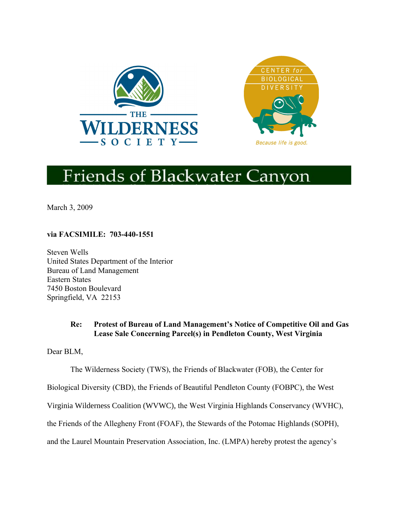



# **Friends of Blackwater Canyon**

March 3, 2009

**via FACSIMILE: 703-440-1551**

Steven Wells United States Department of the Interior Bureau of Land Management Eastern States 7450 Boston Boulevard Springfield, VA 22153

# **Re: Protest of Bureau of Land Management's Notice of Competitive Oil and Gas Lease Sale Concerning Parcel(s) in Pendleton County, West Virginia**

Dear BLM,

The Wilderness Society (TWS), the Friends of Blackwater (FOB), the Center for

Biological Diversity (CBD), the Friends of Beautiful Pendleton County (FOBPC), the West

Virginia Wilderness Coalition (WVWC), the West Virginia Highlands Conservancy (WVHC),

the Friends of the Allegheny Front (FOAF), the Stewards of the Potomac Highlands (SOPH),

and the Laurel Mountain Preservation Association, Inc. (LMPA) hereby protest the agency's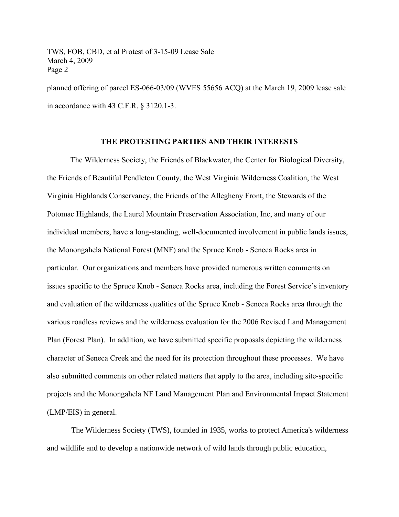planned offering of parcel ES-066-03/09 (WVES 55656 ACQ) at the March 19, 2009 lease sale in accordance with 43 C.F.R. § 3120.1-3.

#### **THE PROTESTING PARTIES AND THEIR INTERESTS**

The Wilderness Society, the Friends of Blackwater, the Center for Biological Diversity, the Friends of Beautiful Pendleton County, the West Virginia Wilderness Coalition, the West Virginia Highlands Conservancy, the Friends of the Allegheny Front, the Stewards of the Potomac Highlands, the Laurel Mountain Preservation Association, Inc, and many of our individual members, have a long-standing, well-documented involvement in public lands issues, the Monongahela National Forest (MNF) and the Spruce Knob - Seneca Rocks area in particular. Our organizations and members have provided numerous written comments on issues specific to the Spruce Knob - Seneca Rocks area, including the Forest Service's inventory and evaluation of the wilderness qualities of the Spruce Knob - Seneca Rocks area through the various roadless reviews and the wilderness evaluation for the 2006 Revised Land Management Plan (Forest Plan). In addition, we have submitted specific proposals depicting the wilderness character of Seneca Creek and the need for its protection throughout these processes. We have also submitted comments on other related matters that apply to the area, including site-specific projects and the Monongahela NF Land Management Plan and Environmental Impact Statement (LMP/EIS) in general.

The Wilderness Society (TWS), founded in 1935, works to protect America's wilderness and wildlife and to develop a nationwide network of wild lands through public education,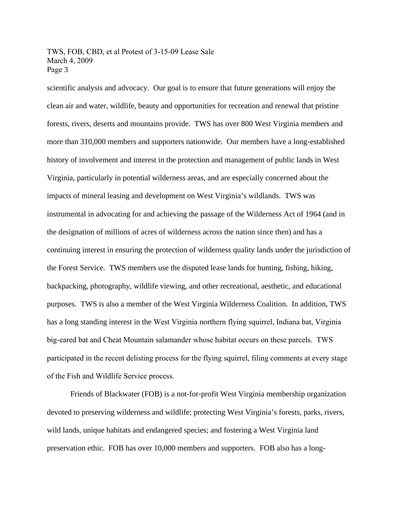scientific analysis and advocacy. Our goal is to ensure that future generations will enjoy the clean air and water, wildlife, beauty and opportunities for recreation and renewal that pristine forests, rivers, deserts and mountains provide. TWS has over 800 West Virginia members and more than 310,000 members and supporters nationwide. Our members have a long-established history of involvement and interest in the protection and management of public lands in West Virginia, particularly in potential wilderness areas, and are especially concerned about the impacts of mineral leasing and development on West Virginia's wildlands. TWS was instrumental in advocating for and achieving the passage of the Wilderness Act of 1964 (and in the designation of millions of acres of wilderness across the nation since then) and has a continuing interest in ensuring the protection of wilderness quality lands under the jurisdiction of the Forest Service. TWS members use the disputed lease lands for hunting, fishing, hiking, backpacking, photography, wildlife viewing, and other recreational, aesthetic, and educational purposes. TWS is also a member of the West Virginia Wilderness Coalition. In addition, TWS has a long standing interest in the West Virginia northern flying squirrel, Indiana bat, Virginia big-eared bat and Cheat Mountain salamander whose habitat occurs on these parcels. TWS participated in the recent delisting process for the flying squirrel, filing comments at every stage of the Fish and Wildlife Service process.

Friends of Blackwater (FOB) is a not-for-profit West Virginia membership organization devoted to preserving wilderness and wildlife; protecting West Virginia's forests, parks, rivers, wild lands, unique habitats and endangered species; and fostering a West Virginia land preservation ethic. FOB has over 10,000 members and supporters. FOB also has a long-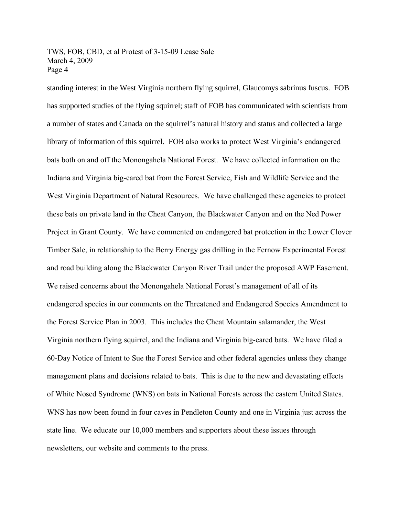standing interest in the West Virginia northern flying squirrel, Glaucomys sabrinus fuscus. FOB has supported studies of the flying squirrel; staff of FOB has communicated with scientists from a number of states and Canada on the squirrel's natural history and status and collected a large library of information of this squirrel. FOB also works to protect West Virginia's endangered bats both on and off the Monongahela National Forest. We have collected information on the Indiana and Virginia big-eared bat from the Forest Service, Fish and Wildlife Service and the West Virginia Department of Natural Resources. We have challenged these agencies to protect these bats on private land in the Cheat Canyon, the Blackwater Canyon and on the Ned Power Project in Grant County. We have commented on endangered bat protection in the Lower Clover Timber Sale, in relationship to the Berry Energy gas drilling in the Fernow Experimental Forest and road building along the Blackwater Canyon River Trail under the proposed AWP Easement. We raised concerns about the Monongahela National Forest's management of all of its endangered species in our comments on the Threatened and Endangered Species Amendment to the Forest Service Plan in 2003. This includes the Cheat Mountain salamander, the West Virginia northern flying squirrel, and the Indiana and Virginia big-eared bats. We have filed a 60-Day Notice of Intent to Sue the Forest Service and other federal agencies unless they change management plans and decisions related to bats. This is due to the new and devastating effects of White Nosed Syndrome (WNS) on bats in National Forests across the eastern United States. WNS has now been found in four caves in Pendleton County and one in Virginia just across the state line. We educate our 10,000 members and supporters about these issues through newsletters, our website and comments to the press.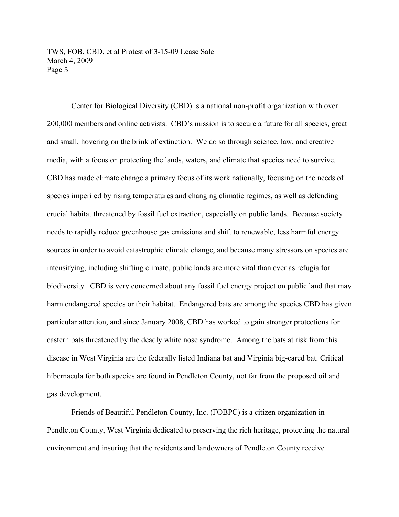Center for Biological Diversity (CBD) is a national non-profit organization with over 200,000 members and online activists. CBD's mission is to secure a future for all species, great and small, hovering on the brink of extinction. We do so through science, law, and creative media, with a focus on protecting the lands, waters, and climate that species need to survive. CBD has made climate change a primary focus of its work nationally, focusing on the needs of species imperiled by rising temperatures and changing climatic regimes, as well as defending crucial habitat threatened by fossil fuel extraction, especially on public lands. Because society needs to rapidly reduce greenhouse gas emissions and shift to renewable, less harmful energy sources in order to avoid catastrophic climate change, and because many stressors on species are intensifying, including shifting climate, public lands are more vital than ever as refugia for biodiversity. CBD is very concerned about any fossil fuel energy project on public land that may harm endangered species or their habitat. Endangered bats are among the species CBD has given particular attention, and since January 2008, CBD has worked to gain stronger protections for eastern bats threatened by the deadly white nose syndrome. Among the bats at risk from this disease in West Virginia are the federally listed Indiana bat and Virginia big-eared bat. Critical hibernacula for both species are found in Pendleton County, not far from the proposed oil and gas development.

Friends of Beautiful Pendleton County, Inc. (FOBPC) is a citizen organization in Pendleton County, West Virginia dedicated to preserving the rich heritage, protecting the natural environment and insuring that the residents and landowners of Pendleton County receive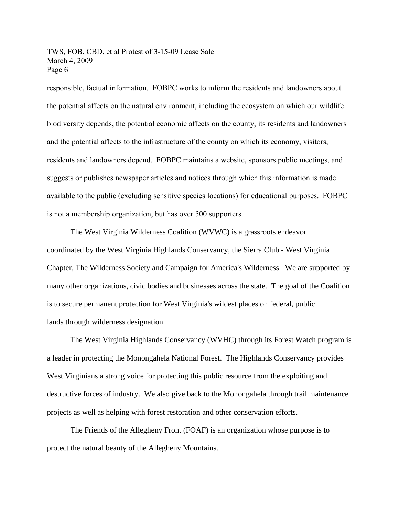responsible, factual information. FOBPC works to inform the residents and landowners about the potential affects on the natural environment, including the ecosystem on which our wildlife biodiversity depends, the potential economic affects on the county, its residents and landowners and the potential affects to the infrastructure of the county on which its economy, visitors, residents and landowners depend. FOBPC maintains a website, sponsors public meetings, and suggests or publishes newspaper articles and notices through which this information is made available to the public (excluding sensitive species locations) for educational purposes. FOBPC is not a membership organization, but has over 500 supporters.

The West Virginia Wilderness Coalition (WVWC) is a grassroots endeavor coordinated by the West Virginia Highlands Conservancy, the Sierra Club - West Virginia Chapter, The Wilderness Society and Campaign for America's Wilderness. We are supported by many other organizations, civic bodies and businesses across the state. The goal of the Coalition is to secure permanent protection for West Virginia's wildest places on federal, public lands through wilderness designation.

The West Virginia Highlands Conservancy (WVHC) through its Forest Watch program is a leader in protecting the Monongahela National Forest. The Highlands Conservancy provides West Virginians a strong voice for protecting this public resource from the exploiting and destructive forces of industry. We also give back to the Monongahela through trail maintenance projects as well as helping with forest restoration and other conservation efforts.

The Friends of the Allegheny Front (FOAF) is an organization whose purpose is to protect the natural beauty of the Allegheny Mountains.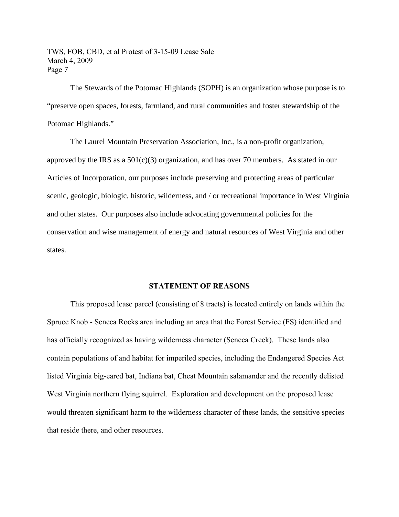The Stewards of the Potomac Highlands (SOPH) is an organization whose purpose is to "preserve open spaces, forests, farmland, and rural communities and foster stewardship of the Potomac Highlands."

The Laurel Mountain Preservation Association, Inc., is a non-profit organization, approved by the IRS as a  $501(c)(3)$  organization, and has over 70 members. As stated in our Articles of Incorporation, our purposes include preserving and protecting areas of particular scenic, geologic, biologic, historic, wilderness, and / or recreational importance in West Virginia and other states. Our purposes also include advocating governmental policies for the conservation and wise management of energy and natural resources of West Virginia and other states.

#### **STATEMENT OF REASONS**

This proposed lease parcel (consisting of 8 tracts) is located entirely on lands within the Spruce Knob - Seneca Rocks area including an area that the Forest Service (FS) identified and has officially recognized as having wilderness character (Seneca Creek). These lands also contain populations of and habitat for imperiled species, including the Endangered Species Act listed Virginia big-eared bat, Indiana bat, Cheat Mountain salamander and the recently delisted West Virginia northern flying squirrel. Exploration and development on the proposed lease would threaten significant harm to the wilderness character of these lands, the sensitive species that reside there, and other resources.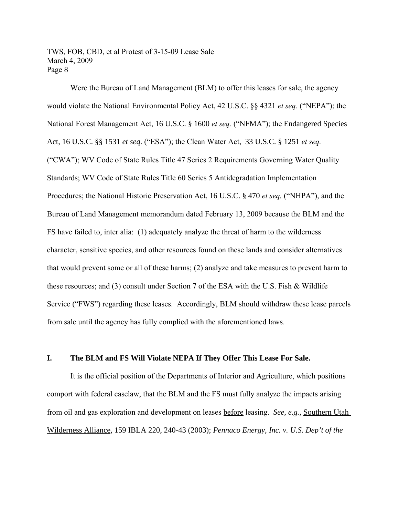Were the Bureau of Land Management (BLM) to offer this leases for sale, the agency would violate the National Environmental Policy Act, 42 U.S.C. §§ 4321 *et seq.* ("NEPA"); the National Forest Management Act, 16 U.S.C. § 1600 *et seq.* ("NFMA"); the Endangered Species Act, 16 U.S.C. §§ 1531 *et seq*. ("ESA"); the Clean Water Act, 33 U.S.C. § 1251 *et seq.* ("CWA"); WV Code of State Rules Title 47 Series 2 Requirements Governing Water Quality Standards; WV Code of State Rules Title 60 Series 5 Antidegradation Implementation Procedures; the National Historic Preservation Act, 16 U.S.C. § 470 *et seq.* ("NHPA"), and the Bureau of Land Management memorandum dated February 13, 2009 because the BLM and the FS have failed to, inter alia: (1) adequately analyze the threat of harm to the wilderness character, sensitive species, and other resources found on these lands and consider alternatives that would prevent some or all of these harms; (2) analyze and take measures to prevent harm to these resources; and (3) consult under Section 7 of the ESA with the U.S. Fish & Wildlife Service ("FWS") regarding these leases. Accordingly, BLM should withdraw these lease parcels from sale until the agency has fully complied with the aforementioned laws.

## **I. The BLM and FS Will Violate NEPA If They Offer This Lease For Sale.**

It is the official position of the Departments of Interior and Agriculture, which positions comport with federal caselaw, that the BLM and the FS must fully analyze the impacts arising from oil and gas exploration and development on leases before leasing. *See, e.g.,* Southern Utah Wilderness Alliance, 159 IBLA 220, 240-43 (2003); *Pennaco Energy, Inc. v. U.S. Dep't of the*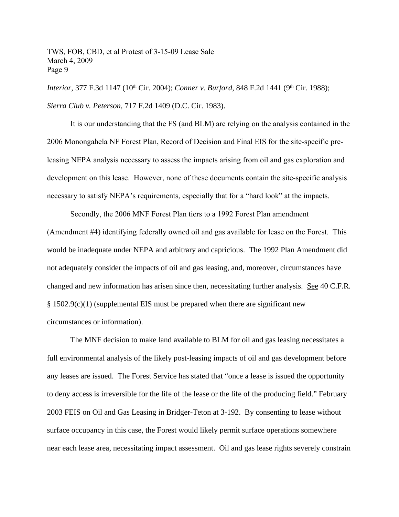*Interior,* 377 F.3d 1147 (10<sup>th</sup> Cir. 2004); *Conner v. Burford*, 848 F.2d 1441 (9<sup>th</sup> Cir. 1988); *Sierra Club v. Peterson*, 717 F.2d 1409 (D.C. Cir. 1983).

It is our understanding that the FS (and BLM) are relying on the analysis contained in the 2006 Monongahela NF Forest Plan, Record of Decision and Final EIS for the site-specific preleasing NEPA analysis necessary to assess the impacts arising from oil and gas exploration and development on this lease. However, none of these documents contain the site-specific analysis necessary to satisfy NEPA's requirements, especially that for a "hard look" at the impacts.

Secondly, the 2006 MNF Forest Plan tiers to a 1992 Forest Plan amendment (Amendment #4) identifying federally owned oil and gas available for lease on the Forest. This would be inadequate under NEPA and arbitrary and capricious. The 1992 Plan Amendment did not adequately consider the impacts of oil and gas leasing, and, moreover, circumstances have changed and new information has arisen since then, necessitating further analysis. See 40 C.F.R. § 1502.9(c)(1) (supplemental EIS must be prepared when there are significant new circumstances or information).

The MNF decision to make land available to BLM for oil and gas leasing necessitates a full environmental analysis of the likely post-leasing impacts of oil and gas development before any leases are issued. The Forest Service has stated that "once a lease is issued the opportunity to deny access is irreversible for the life of the lease or the life of the producing field." February 2003 FEIS on Oil and Gas Leasing in Bridger-Teton at 3-192. By consenting to lease without surface occupancy in this case, the Forest would likely permit surface operations somewhere near each lease area, necessitating impact assessment. Oil and gas lease rights severely constrain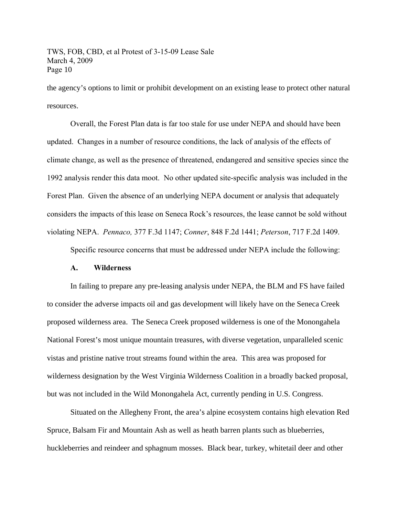the agency's options to limit or prohibit development on an existing lease to protect other natural resources.

Overall, the Forest Plan data is far too stale for use under NEPA and should have been updated. Changes in a number of resource conditions, the lack of analysis of the effects of climate change, as well as the presence of threatened, endangered and sensitive species since the 1992 analysis render this data moot. No other updated site-specific analysis was included in the Forest Plan. Given the absence of an underlying NEPA document or analysis that adequately considers the impacts of this lease on Seneca Rock's resources, the lease cannot be sold without violating NEPA. *Pennaco,* 377 F.3d 1147; *Conner*, 848 F.2d 1441; *Peterson*, 717 F.2d 1409.

Specific resource concerns that must be addressed under NEPA include the following:

#### **A. Wilderness**

In failing to prepare any pre-leasing analysis under NEPA, the BLM and FS have failed to consider the adverse impacts oil and gas development will likely have on the Seneca Creek proposed wilderness area. The Seneca Creek proposed wilderness is one of the Monongahela National Forest's most unique mountain treasures, with diverse vegetation, unparalleled scenic vistas and pristine native trout streams found within the area. This area was proposed for wilderness designation by the West Virginia Wilderness Coalition in a broadly backed proposal, but was not included in the Wild Monongahela Act, currently pending in U.S. Congress.

Situated on the Allegheny Front, the area's alpine ecosystem contains high elevation Red Spruce, Balsam Fir and Mountain Ash as well as heath barren plants such as blueberries, huckleberries and reindeer and sphagnum mosses. Black bear, turkey, whitetail deer and other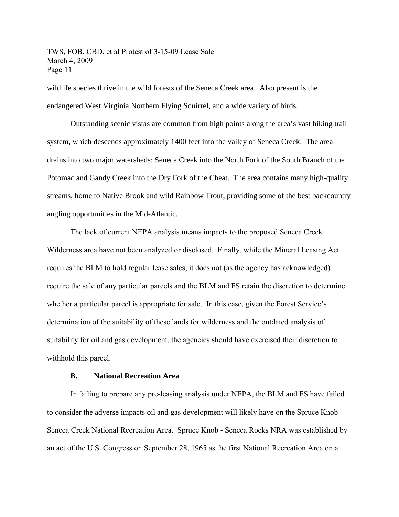wildlife species thrive in the wild forests of the Seneca Creek area. Also present is the endangered West Virginia Northern Flying Squirrel, and a wide variety of birds.

Outstanding scenic vistas are common from high points along the area's vast hiking trail system, which descends approximately 1400 feet into the valley of Seneca Creek. The area drains into two major watersheds: Seneca Creek into the North Fork of the South Branch of the Potomac and Gandy Creek into the Dry Fork of the Cheat. The area contains many high-quality streams, home to Native Brook and wild Rainbow Trout, providing some of the best backcountry angling opportunities in the Mid-Atlantic.

The lack of current NEPA analysis means impacts to the proposed Seneca Creek Wilderness area have not been analyzed or disclosed. Finally, while the Mineral Leasing Act requires the BLM to hold regular lease sales, it does not (as the agency has acknowledged) require the sale of any particular parcels and the BLM and FS retain the discretion to determine whether a particular parcel is appropriate for sale. In this case, given the Forest Service's determination of the suitability of these lands for wilderness and the outdated analysis of suitability for oil and gas development, the agencies should have exercised their discretion to withhold this parcel.

#### **B. National Recreation Area**

In failing to prepare any pre-leasing analysis under NEPA, the BLM and FS have failed to consider the adverse impacts oil and gas development will likely have on the Spruce Knob - Seneca Creek National Recreation Area. Spruce Knob - Seneca Rocks NRA was established by an act of the U.S. Congress on September 28, 1965 as the first National Recreation Area on a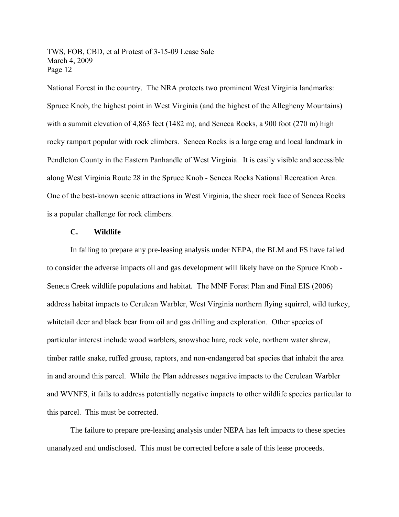National Forest in the country. The NRA protects two prominent West Virginia landmarks: Spruce Knob, the highest point in West Virginia (and the highest of the Allegheny Mountains) with a summit elevation of 4,863 feet (1482 m), and Seneca Rocks, a 900 foot (270 m) high rocky rampart popular with rock climbers. Seneca Rocks is a large crag and local landmark in Pendleton County in the Eastern Panhandle of West Virginia. It is easily visible and accessible along West Virginia Route 28 in the Spruce Knob - Seneca Rocks National Recreation Area. One of the best-known scenic attractions in West Virginia, the sheer rock face of Seneca Rocks is a popular challenge for rock climbers.

#### **C. Wildlife**

In failing to prepare any pre-leasing analysis under NEPA, the BLM and FS have failed to consider the adverse impacts oil and gas development will likely have on the Spruce Knob - Seneca Creek wildlife populations and habitat. The MNF Forest Plan and Final EIS (2006) address habitat impacts to Cerulean Warbler, West Virginia northern flying squirrel, wild turkey, whitetail deer and black bear from oil and gas drilling and exploration. Other species of particular interest include wood warblers, snowshoe hare, rock vole, northern water shrew, timber rattle snake, ruffed grouse, raptors, and non-endangered bat species that inhabit the area in and around this parcel. While the Plan addresses negative impacts to the Cerulean Warbler and WVNFS, it fails to address potentially negative impacts to other wildlife species particular to this parcel. This must be corrected.

The failure to prepare pre-leasing analysis under NEPA has left impacts to these species unanalyzed and undisclosed. This must be corrected before a sale of this lease proceeds.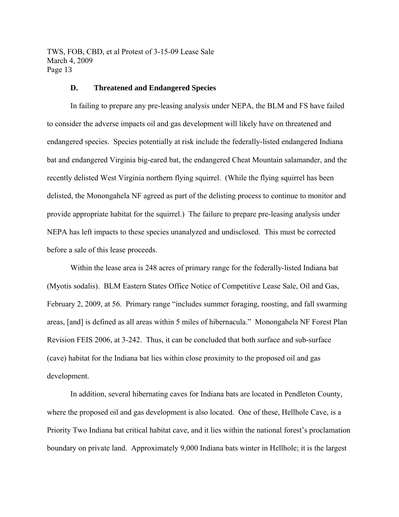#### **D. Threatened and Endangered Species**

In failing to prepare any pre-leasing analysis under NEPA, the BLM and FS have failed to consider the adverse impacts oil and gas development will likely have on threatened and endangered species. Species potentially at risk include the federally-listed endangered Indiana bat and endangered Virginia big-eared bat, the endangered Cheat Mountain salamander, and the recently delisted West Virginia northern flying squirrel. (While the flying squirrel has been delisted, the Monongahela NF agreed as part of the delisting process to continue to monitor and provide appropriate habitat for the squirrel.) The failure to prepare pre-leasing analysis under NEPA has left impacts to these species unanalyzed and undisclosed. This must be corrected before a sale of this lease proceeds.

Within the lease area is 248 acres of primary range for the federally-listed Indiana bat (Myotis sodalis). BLM Eastern States Office Notice of Competitive Lease Sale, Oil and Gas, February 2, 2009, at 56. Primary range "includes summer foraging, roosting, and fall swarming areas, [and] is defined as all areas within 5 miles of hibernacula." Monongahela NF Forest Plan Revision FEIS 2006, at 3-242. Thus, it can be concluded that both surface and sub-surface (cave) habitat for the Indiana bat lies within close proximity to the proposed oil and gas development.

In addition, several hibernating caves for Indiana bats are located in Pendleton County, where the proposed oil and gas development is also located. One of these, Hellhole Cave, is a Priority Two Indiana bat critical habitat cave, and it lies within the national forest's proclamation boundary on private land. Approximately 9,000 Indiana bats winter in Hellhole; it is the largest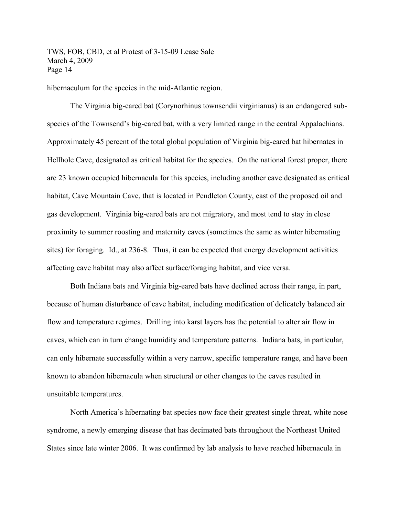hibernaculum for the species in the mid-Atlantic region.

The Virginia big-eared bat (Corynorhinus townsendii virginianus) is an endangered subspecies of the Townsend's big-eared bat, with a very limited range in the central Appalachians. Approximately 45 percent of the total global population of Virginia big-eared bat hibernates in Hellhole Cave, designated as critical habitat for the species. On the national forest proper, there are 23 known occupied hibernacula for this species, including another cave designated as critical habitat, Cave Mountain Cave, that is located in Pendleton County, east of the proposed oil and gas development. Virginia big-eared bats are not migratory, and most tend to stay in close proximity to summer roosting and maternity caves (sometimes the same as winter hibernating sites) for foraging. Id., at 236-8. Thus, it can be expected that energy development activities affecting cave habitat may also affect surface/foraging habitat, and vice versa.

Both Indiana bats and Virginia big-eared bats have declined across their range, in part, because of human disturbance of cave habitat, including modification of delicately balanced air flow and temperature regimes. Drilling into karst layers has the potential to alter air flow in caves, which can in turn change humidity and temperature patterns. Indiana bats, in particular, can only hibernate successfully within a very narrow, specific temperature range, and have been known to abandon hibernacula when structural or other changes to the caves resulted in unsuitable temperatures.

North America's hibernating bat species now face their greatest single threat, white nose syndrome, a newly emerging disease that has decimated bats throughout the Northeast United States since late winter 2006. It was confirmed by lab analysis to have reached hibernacula in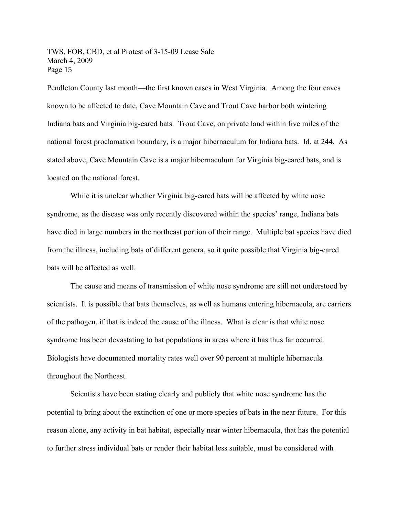Pendleton County last month—the first known cases in West Virginia. Among the four caves known to be affected to date, Cave Mountain Cave and Trout Cave harbor both wintering Indiana bats and Virginia big-eared bats. Trout Cave, on private land within five miles of the national forest proclamation boundary, is a major hibernaculum for Indiana bats. Id. at 244. As stated above, Cave Mountain Cave is a major hibernaculum for Virginia big-eared bats, and is located on the national forest.

While it is unclear whether Virginia big-eared bats will be affected by white nose syndrome, as the disease was only recently discovered within the species' range, Indiana bats have died in large numbers in the northeast portion of their range. Multiple bat species have died from the illness, including bats of different genera, so it quite possible that Virginia big-eared bats will be affected as well.

The cause and means of transmission of white nose syndrome are still not understood by scientists. It is possible that bats themselves, as well as humans entering hibernacula, are carriers of the pathogen, if that is indeed the cause of the illness. What is clear is that white nose syndrome has been devastating to bat populations in areas where it has thus far occurred. Biologists have documented mortality rates well over 90 percent at multiple hibernacula throughout the Northeast.

Scientists have been stating clearly and publicly that white nose syndrome has the potential to bring about the extinction of one or more species of bats in the near future. For this reason alone, any activity in bat habitat, especially near winter hibernacula, that has the potential to further stress individual bats or render their habitat less suitable, must be considered with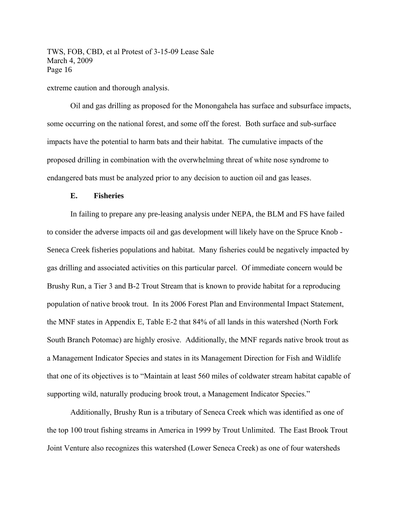extreme caution and thorough analysis.

Oil and gas drilling as proposed for the Monongahela has surface and subsurface impacts, some occurring on the national forest, and some off the forest. Both surface and sub-surface impacts have the potential to harm bats and their habitat. The cumulative impacts of the proposed drilling in combination with the overwhelming threat of white nose syndrome to endangered bats must be analyzed prior to any decision to auction oil and gas leases.

#### **E. Fisheries**

In failing to prepare any pre-leasing analysis under NEPA, the BLM and FS have failed to consider the adverse impacts oil and gas development will likely have on the Spruce Knob - Seneca Creek fisheries populations and habitat. Many fisheries could be negatively impacted by gas drilling and associated activities on this particular parcel. Of immediate concern would be Brushy Run, a Tier 3 and B-2 Trout Stream that is known to provide habitat for a reproducing population of native brook trout. In its 2006 Forest Plan and Environmental Impact Statement, the MNF states in Appendix E, Table E-2 that 84% of all lands in this watershed (North Fork South Branch Potomac) are highly erosive. Additionally, the MNF regards native brook trout as a Management Indicator Species and states in its Management Direction for Fish and Wildlife that one of its objectives is to "Maintain at least 560 miles of coldwater stream habitat capable of supporting wild, naturally producing brook trout, a Management Indicator Species."

Additionally, Brushy Run is a tributary of Seneca Creek which was identified as one of the top 100 trout fishing streams in America in 1999 by Trout Unlimited. The East Brook Trout Joint Venture also recognizes this watershed (Lower Seneca Creek) as one of four watersheds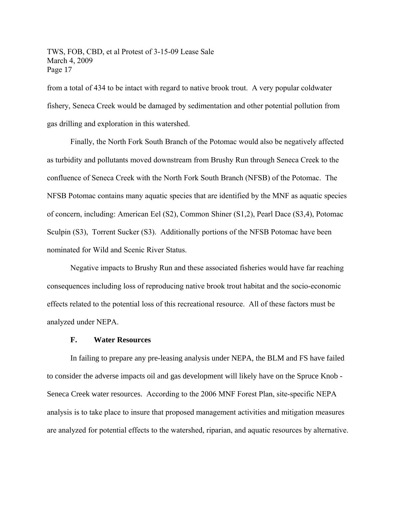from a total of 434 to be intact with regard to native brook trout. A very popular coldwater fishery, Seneca Creek would be damaged by sedimentation and other potential pollution from gas drilling and exploration in this watershed.

Finally, the North Fork South Branch of the Potomac would also be negatively affected as turbidity and pollutants moved downstream from Brushy Run through Seneca Creek to the confluence of Seneca Creek with the North Fork South Branch (NFSB) of the Potomac. The NFSB Potomac contains many aquatic species that are identified by the MNF as aquatic species of concern, including: American Eel (S2), Common Shiner (S1,2), Pearl Dace (S3,4), Potomac Sculpin (S3), Torrent Sucker (S3). Additionally portions of the NFSB Potomac have been nominated for Wild and Scenic River Status.

Negative impacts to Brushy Run and these associated fisheries would have far reaching consequences including loss of reproducing native brook trout habitat and the socio-economic effects related to the potential loss of this recreational resource. All of these factors must be analyzed under NEPA.

#### **F. Water Resources**

In failing to prepare any pre-leasing analysis under NEPA, the BLM and FS have failed to consider the adverse impacts oil and gas development will likely have on the Spruce Knob - Seneca Creek water resources. According to the 2006 MNF Forest Plan, site-specific NEPA analysis is to take place to insure that proposed management activities and mitigation measures are analyzed for potential effects to the watershed, riparian, and aquatic resources by alternative.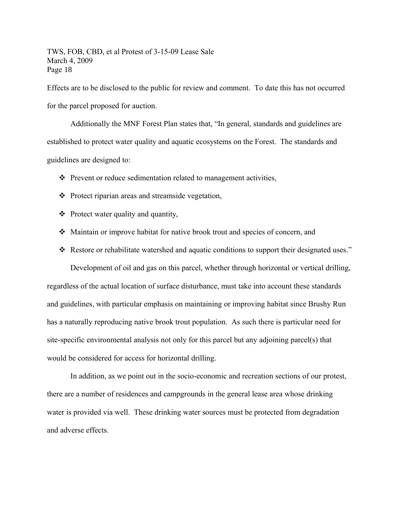Effects are to be disclosed to the public for review and comment. To date this has not occurred for the parcel proposed for auction.

Additionally the MNF Forest Plan states that, "In general, standards and guidelines are established to protect water quality and aquatic ecosystems on the Forest. The standards and guidelines are designed to:

- $\triangle$  Prevent or reduce sedimentation related to management activities,
- Protect riparian areas and streamside vegetation,
- $\triangleleft$  Protect water quality and quantity,
- Maintain or improve habitat for native brook trout and species of concern, and
- $\div$  Restore or rehabilitate watershed and aquatic conditions to support their designated uses."

Development of oil and gas on this parcel, whether through horizontal or vertical drilling, regardless of the actual location of surface disturbance, must take into account these standards and guidelines, with particular emphasis on maintaining or improving habitat since Brushy Run has a naturally reproducing native brook trout population. As such there is particular need for site-specific environmental analysis not only for this parcel but any adjoining parcel(s) that would be considered for access for horizontal drilling.

In addition, as we point out in the socio-economic and recreation sections of our protest, there are a number of residences and campgrounds in the general lease area whose drinking water is provided via well. These drinking water sources must be protected from degradation and adverse effects.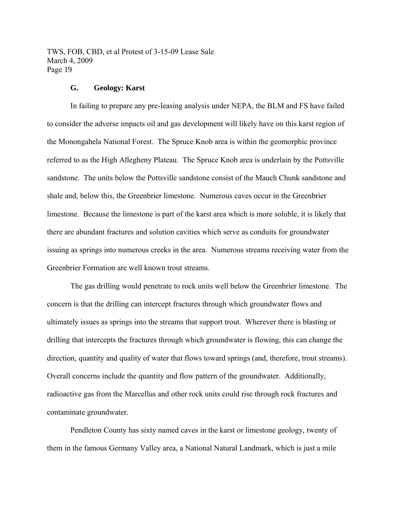#### **G. Geology: Karst**

In failing to prepare any pre-leasing analysis under NEPA, the BLM and FS have failed to consider the adverse impacts oil and gas development will likely have on this karst region of the Monongahela National Forest. The Spruce Knob area is within the geomorphic province referred to as the High Allegheny Plateau. The Spruce Knob area is underlain by the Pottsville sandstone. The units below the Pottsville sandstone consist of the Mauch Chunk sandstone and shale and, below this, the Greenbrier limestone. Numerous caves occur in the Greenbrier limestone. Because the limestone is part of the karst area which is more soluble, it is likely that there are abundant fractures and solution cavities which serve as conduits for groundwater issuing as springs into numerous creeks in the area. Numerous streams receiving water from the Greenbrier Formation are well known trout streams.

The gas drilling would penetrate to rock units well below the Greenbrier limestone. The concern is that the drilling can intercept fractures through which groundwater flows and ultimately issues as springs into the streams that support trout. Wherever there is blasting or drilling that intercepts the fractures through which groundwater is flowing, this can change the direction, quantity and quality of water that flows toward springs (and, therefore, trout streams). Overall concerns include the quantity and flow pattern of the groundwater. Additionally, radioactive gas from the Marcellus and other rock units could rise through rock fractures and contaminate groundwater.

Pendleton County has sixty named caves in the karst or limestone geology, twenty of them in the famous Germany Valley area, a National Natural Landmark, which is just a mile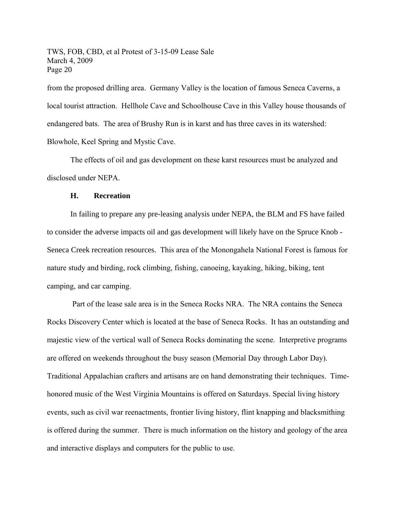from the proposed drilling area. Germany Valley is the location of famous Seneca Caverns, a local tourist attraction. Hellhole Cave and Schoolhouse Cave in this Valley house thousands of endangered bats. The area of Brushy Run is in karst and has three caves in its watershed: Blowhole, Keel Spring and Mystic Cave.

The effects of oil and gas development on these karst resources must be analyzed and disclosed under NEPA.

#### **H. Recreation**

In failing to prepare any pre-leasing analysis under NEPA, the BLM and FS have failed to consider the adverse impacts oil and gas development will likely have on the Spruce Knob - Seneca Creek recreation resources. This area of the Monongahela National Forest is famous for nature study and birding, rock climbing, fishing, canoeing, kayaking, hiking, biking, tent camping, and car camping.

 Part of the lease sale area is in the Seneca Rocks NRA. The NRA contains the Seneca Rocks Discovery Center which is located at the base of Seneca Rocks. It has an outstanding and majestic view of the vertical wall of Seneca Rocks dominating the scene. Interpretive programs are offered on weekends throughout the busy season (Memorial Day through Labor Day). Traditional Appalachian crafters and artisans are on hand demonstrating their techniques. Timehonored music of the West Virginia Mountains is offered on Saturdays. Special living history events, such as civil war reenactments, frontier living history, flint knapping and blacksmithing is offered during the summer. There is much information on the history and geology of the area and interactive displays and computers for the public to use.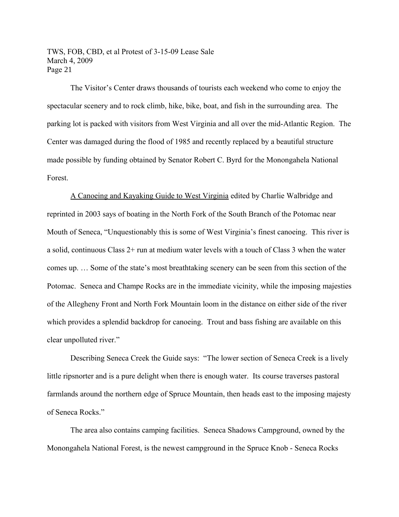The Visitor's Center draws thousands of tourists each weekend who come to enjoy the spectacular scenery and to rock climb, hike, bike, boat, and fish in the surrounding area. The parking lot is packed with visitors from West Virginia and all over the mid-Atlantic Region. The Center was damaged during the flood of 1985 and recently replaced by a beautiful structure made possible by funding obtained by Senator Robert C. Byrd for the Monongahela National Forest.

A Canoeing and Kayaking Guide to West Virginia edited by Charlie Walbridge and reprinted in 2003 says of boating in the North Fork of the South Branch of the Potomac near Mouth of Seneca, "Unquestionably this is some of West Virginia's finest canoeing. This river is a solid, continuous Class 2+ run at medium water levels with a touch of Class 3 when the water comes up. … Some of the state's most breathtaking scenery can be seen from this section of the Potomac. Seneca and Champe Rocks are in the immediate vicinity, while the imposing majesties of the Allegheny Front and North Fork Mountain loom in the distance on either side of the river which provides a splendid backdrop for canoeing. Trout and bass fishing are available on this clear unpolluted river."

Describing Seneca Creek the Guide says: "The lower section of Seneca Creek is a lively little ripsnorter and is a pure delight when there is enough water. Its course traverses pastoral farmlands around the northern edge of Spruce Mountain, then heads east to the imposing majesty of Seneca Rocks."

The area also contains camping facilities. Seneca Shadows Campground, owned by the Monongahela National Forest, is the newest campground in the Spruce Knob - Seneca Rocks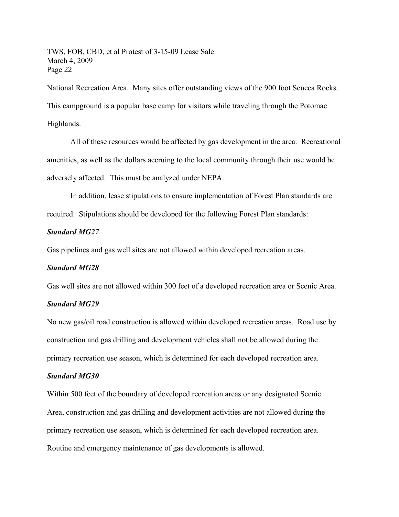National Recreation Area. Many sites offer outstanding views of the 900 foot Seneca Rocks. This campground is a popular base camp for visitors while traveling through the Potomac Highlands.

All of these resources would be affected by gas development in the area. Recreational amenities, as well as the dollars accruing to the local community through their use would be adversely affected. This must be analyzed under NEPA.

In addition, lease stipulations to ensure implementation of Forest Plan standards are required. Stipulations should be developed for the following Forest Plan standards:

#### *Standard MG27*

Gas pipelines and gas well sites are not allowed within developed recreation areas.

# *Standard MG28*

Gas well sites are not allowed within 300 feet of a developed recreation area or Scenic Area.

#### *Standard MG29*

No new gas/oil road construction is allowed within developed recreation areas. Road use by construction and gas drilling and development vehicles shall not be allowed during the primary recreation use season, which is determined for each developed recreation area.

#### *Standard MG30*

Within 500 feet of the boundary of developed recreation areas or any designated Scenic Area, construction and gas drilling and development activities are not allowed during the primary recreation use season, which is determined for each developed recreation area. Routine and emergency maintenance of gas developments is allowed.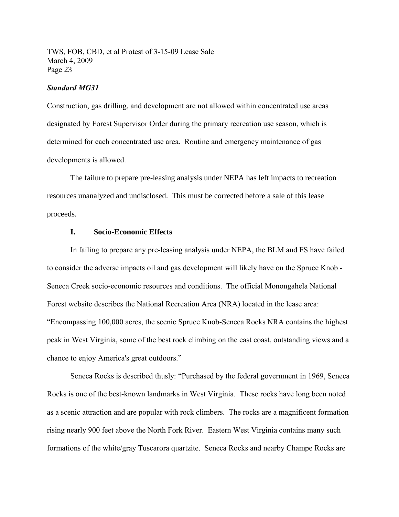#### *Standard MG31*

Construction, gas drilling, and development are not allowed within concentrated use areas designated by Forest Supervisor Order during the primary recreation use season, which is determined for each concentrated use area. Routine and emergency maintenance of gas developments is allowed.

The failure to prepare pre-leasing analysis under NEPA has left impacts to recreation resources unanalyzed and undisclosed. This must be corrected before a sale of this lease proceeds.

#### **I. Socio-Economic Effects**

In failing to prepare any pre-leasing analysis under NEPA, the BLM and FS have failed to consider the adverse impacts oil and gas development will likely have on the Spruce Knob - Seneca Creek socio-economic resources and conditions. The official Monongahela National Forest website describes the National Recreation Area (NRA) located in the lease area: "Encompassing 100,000 acres, the scenic Spruce Knob-Seneca Rocks NRA contains the highest peak in West Virginia, some of the best rock climbing on the east coast, outstanding views and a chance to enjoy America's great outdoors."

Seneca Rocks is described thusly: "Purchased by the federal government in 1969, Seneca Rocks is one of the best-known landmarks in West Virginia. These rocks have long been noted as a scenic attraction and are popular with rock climbers. The rocks are a magnificent formation rising nearly 900 feet above the North Fork River. Eastern West Virginia contains many such formations of the white/gray Tuscarora quartzite. Seneca Rocks and nearby Champe Rocks are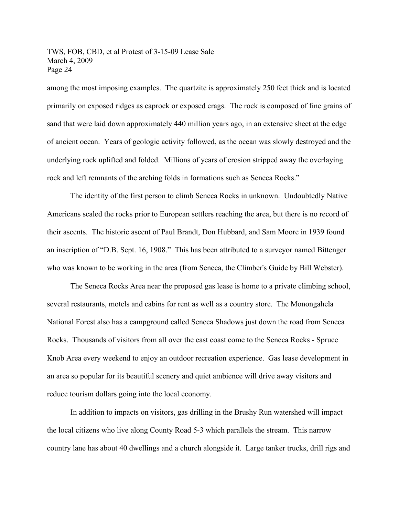among the most imposing examples. The quartzite is approximately 250 feet thick and is located primarily on exposed ridges as caprock or exposed crags. The rock is composed of fine grains of sand that were laid down approximately 440 million years ago, in an extensive sheet at the edge of ancient ocean. Years of geologic activity followed, as the ocean was slowly destroyed and the underlying rock uplifted and folded. Millions of years of erosion stripped away the overlaying rock and left remnants of the arching folds in formations such as Seneca Rocks."

The identity of the first person to climb Seneca Rocks in unknown. Undoubtedly Native Americans scaled the rocks prior to European settlers reaching the area, but there is no record of their ascents. The historic ascent of Paul Brandt, Don Hubbard, and Sam Moore in 1939 found an inscription of "D.B. Sept. 16, 1908." This has been attributed to a surveyor named Bittenger who was known to be working in the area (from Seneca, the Climber's Guide by Bill Webster).

The Seneca Rocks Area near the proposed gas lease is home to a private climbing school, several restaurants, motels and cabins for rent as well as a country store. The Monongahela National Forest also has a campground called Seneca Shadows just down the road from Seneca Rocks. Thousands of visitors from all over the east coast come to the Seneca Rocks - Spruce Knob Area every weekend to enjoy an outdoor recreation experience. Gas lease development in an area so popular for its beautiful scenery and quiet ambience will drive away visitors and reduce tourism dollars going into the local economy.

In addition to impacts on visitors, gas drilling in the Brushy Run watershed will impact the local citizens who live along County Road 5-3 which parallels the stream. This narrow country lane has about 40 dwellings and a church alongside it. Large tanker trucks, drill rigs and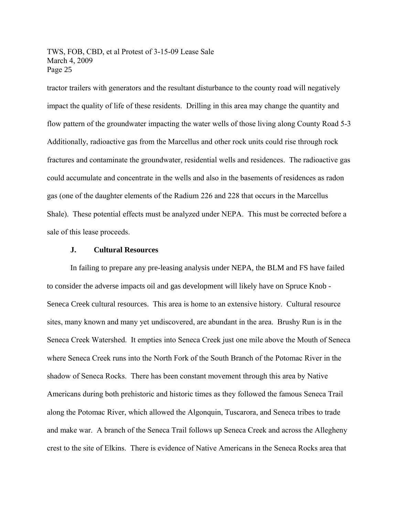tractor trailers with generators and the resultant disturbance to the county road will negatively impact the quality of life of these residents. Drilling in this area may change the quantity and flow pattern of the groundwater impacting the water wells of those living along County Road 5-3 Additionally, radioactive gas from the Marcellus and other rock units could rise through rock fractures and contaminate the groundwater, residential wells and residences. The radioactive gas could accumulate and concentrate in the wells and also in the basements of residences as radon gas (one of the daughter elements of the Radium 226 and 228 that occurs in the Marcellus Shale). These potential effects must be analyzed under NEPA. This must be corrected before a sale of this lease proceeds.

#### **J. Cultural Resources**

In failing to prepare any pre-leasing analysis under NEPA, the BLM and FS have failed to consider the adverse impacts oil and gas development will likely have on Spruce Knob - Seneca Creek cultural resources. This area is home to an extensive history. Cultural resource sites, many known and many yet undiscovered, are abundant in the area. Brushy Run is in the Seneca Creek Watershed. It empties into Seneca Creek just one mile above the Mouth of Seneca where Seneca Creek runs into the North Fork of the South Branch of the Potomac River in the shadow of Seneca Rocks. There has been constant movement through this area by Native Americans during both prehistoric and historic times as they followed the famous Seneca Trail along the Potomac River, which allowed the Algonquin, Tuscarora, and Seneca tribes to trade and make war. A branch of the Seneca Trail follows up Seneca Creek and across the Allegheny crest to the site of Elkins. There is evidence of Native Americans in the Seneca Rocks area that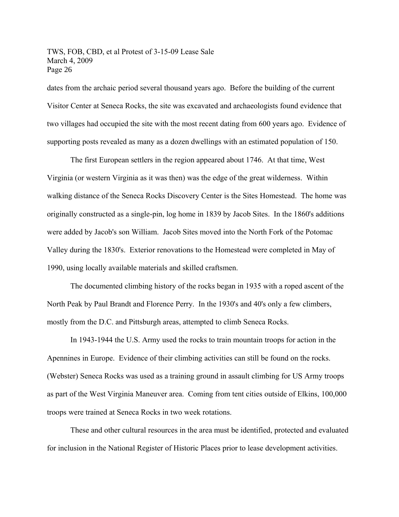dates from the archaic period several thousand years ago. Before the building of the current Visitor Center at Seneca Rocks, the site was excavated and archaeologists found evidence that two villages had occupied the site with the most recent dating from 600 years ago. Evidence of supporting posts revealed as many as a dozen dwellings with an estimated population of 150.

The first European settlers in the region appeared about 1746. At that time, West Virginia (or western Virginia as it was then) was the edge of the great wilderness. Within walking distance of the Seneca Rocks Discovery Center is the Sites Homestead. The home was originally constructed as a single-pin, log home in 1839 by Jacob Sites. In the 1860's additions were added by Jacob's son William. Jacob Sites moved into the North Fork of the Potomac Valley during the 1830's. Exterior renovations to the Homestead were completed in May of 1990, using locally available materials and skilled craftsmen.

The documented climbing history of the rocks began in 1935 with a roped ascent of the North Peak by Paul Brandt and Florence Perry. In the 1930's and 40's only a few climbers, mostly from the D.C. and Pittsburgh areas, attempted to climb Seneca Rocks.

In 1943-1944 the U.S. Army used the rocks to train mountain troops for action in the Apennines in Europe. Evidence of their climbing activities can still be found on the rocks. (Webster) Seneca Rocks was used as a training ground in assault climbing for US Army troops as part of the West Virginia Maneuver area. Coming from tent cities outside of Elkins, 100,000 troops were trained at Seneca Rocks in two week rotations.

These and other cultural resources in the area must be identified, protected and evaluated for inclusion in the National Register of Historic Places prior to lease development activities.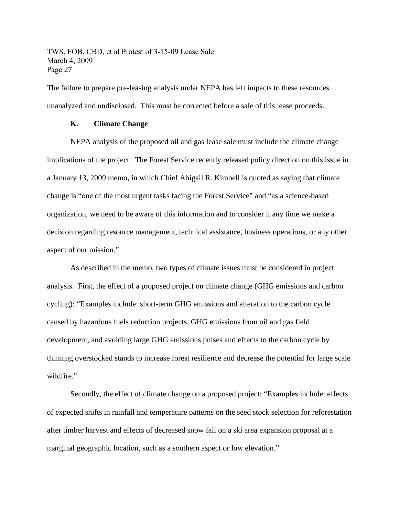The failure to prepare pre-leasing analysis under NEPA has left impacts to these resources unanalyzed and undisclosed. This must be corrected before a sale of this lease proceeds.

### **K. Climate Change**

NEPA analysis of the proposed oil and gas lease sale must include the climate change implications of the project. The Forest Service recently released policy direction on this issue in a January 13, 2009 memo, in which Chief Abigail R. Kimbell is quoted as saying that climate change is "one of the most urgent tasks facing the Forest Service" and "as a science-based organization, we need to be aware of this information and to consider it any time we make a decision regarding resource management, technical assistance, business operations, or any other aspect of our mission."

As described in the memo, two types of climate issues must be considered in project analysis. First, the effect of a proposed project on climate change (GHG emissions and carbon cycling): "Examples include: short-term GHG emissions and alteration to the carbon cycle caused by hazardous fuels reduction projects, GHG emissions from oil and gas field development, and avoiding large GHG emissions pulses and effects to the carbon cycle by thinning overstocked stands to increase forest resilience and decrease the potential for large scale wildfire."

Secondly, the effect of climate change on a proposed project: "Examples include: effects of expected shifts in rainfall and temperature patterns on the seed stock selection for reforestation after timber harvest and effects of decreased snow fall on a ski area expansion proposal at a marginal geographic location, such as a southern aspect or low elevation."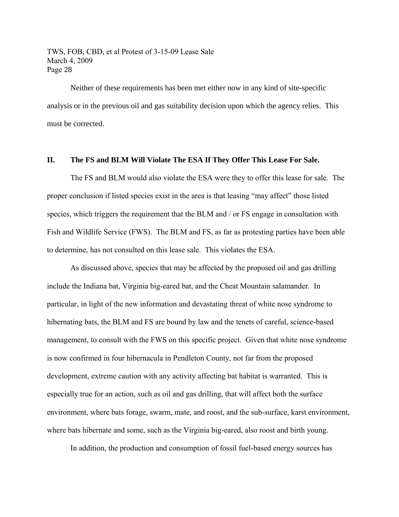Neither of these requirements has been met either now in any kind of site-specific analysis or in the previous oil and gas suitability decision upon which the agency relies. This must be corrected.

## **II. The FS and BLM Will Violate The ESA If They Offer This Lease For Sale.**

The FS and BLM would also violate the ESA were they to offer this lease for sale. The proper conclusion if listed species exist in the area is that leasing "may affect" those listed species, which triggers the requirement that the BLM and / or FS engage in consultation with Fish and Wildlife Service (FWS). The BLM and FS, as far as protesting parties have been able to determine, has not consulted on this lease sale. This violates the ESA.

As discussed above, species that may be affected by the proposed oil and gas drilling include the Indiana bat, Virginia big-eared bat, and the Cheat Mountain salamander. In particular, in light of the new information and devastating threat of white nose syndrome to hibernating bats, the BLM and FS are bound by law and the tenets of careful, science-based management, to consult with the FWS on this specific project. Given that white nose syndrome is now confirmed in four hibernacula in Pendleton County, not far from the proposed development, extreme caution with any activity affecting bat habitat is warranted. This is especially true for an action, such as oil and gas drilling, that will affect both the surface environment, where bats forage, swarm, mate, and roost, and the sub-surface, karst environment, where bats hibernate and some, such as the Virginia big-eared, also roost and birth young.

In addition, the production and consumption of fossil fuel-based energy sources has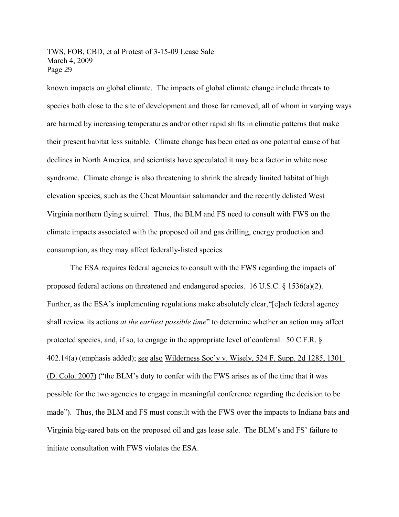known impacts on global climate. The impacts of global climate change include threats to species both close to the site of development and those far removed, all of whom in varying ways are harmed by increasing temperatures and/or other rapid shifts in climatic patterns that make their present habitat less suitable. Climate change has been cited as one potential cause of bat declines in North America, and scientists have speculated it may be a factor in white nose syndrome. Climate change is also threatening to shrink the already limited habitat of high elevation species, such as the Cheat Mountain salamander and the recently delisted West Virginia northern flying squirrel. Thus, the BLM and FS need to consult with FWS on the climate impacts associated with the proposed oil and gas drilling, energy production and consumption, as they may affect federally-listed species.

The ESA requires federal agencies to consult with the FWS regarding the impacts of proposed federal actions on threatened and endangered species. 16 U.S.C.  $\S$  1536(a)(2). Further, as the ESA's implementing regulations make absolutely clear, "[e]ach federal agency shall review its actions *at the earliest possible time*" to determine whether an action may affect protected species, and, if so, to engage in the appropriate level of conferral. 50 C.F.R. § 402.14(a) (emphasis added); see also [Wilderness Soc'y v. Wisely, 524 F. Supp. 2d 1285, 1301](http://www.lexis.com/research/xlink?app=00075&view=full&searchtype=get&search=524+F.+Supp.+2d+1301)  [\(D. Colo. 2007\)](http://www.lexis.com/research/xlink?app=00075&view=full&searchtype=get&search=524+F.+Supp.+2d+1301) ("the BLM's duty to confer with the FWS arises as of the time that it was possible for the two agencies to engage in meaningful conference regarding the decision to be made"). Thus, the BLM and FS must consult with the FWS over the impacts to Indiana bats and Virginia big-eared bats on the proposed oil and gas lease sale. The BLM's and FS' failure to initiate consultation with FWS violates the ESA.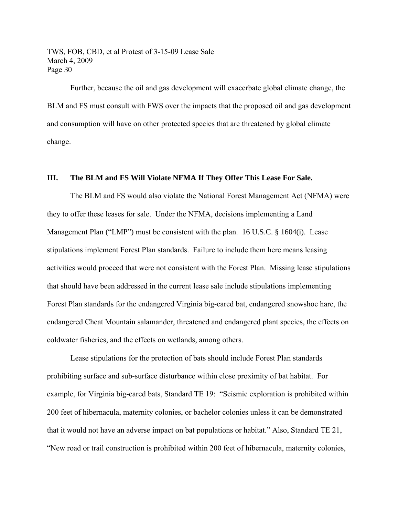Further, because the oil and gas development will exacerbate global climate change, the BLM and FS must consult with FWS over the impacts that the proposed oil and gas development and consumption will have on other protected species that are threatened by global climate change.

#### **III. The BLM and FS Will Violate NFMA If They Offer This Lease For Sale.**

The BLM and FS would also violate the National Forest Management Act (NFMA) were they to offer these leases for sale. Under the NFMA, decisions implementing a Land Management Plan ("LMP") must be consistent with the plan. 16 U.S.C. § 1604(i). Lease stipulations implement Forest Plan standards. Failure to include them here means leasing activities would proceed that were not consistent with the Forest Plan. Missing lease stipulations that should have been addressed in the current lease sale include stipulations implementing Forest Plan standards for the endangered Virginia big-eared bat, endangered snowshoe hare, the endangered Cheat Mountain salamander, threatened and endangered plant species, the effects on coldwater fisheries, and the effects on wetlands, among others.

Lease stipulations for the protection of bats should include Forest Plan standards prohibiting surface and sub-surface disturbance within close proximity of bat habitat. For example, for Virginia big-eared bats, Standard TE 19: "Seismic exploration is prohibited within 200 feet of hibernacula, maternity colonies, or bachelor colonies unless it can be demonstrated that it would not have an adverse impact on bat populations or habitat." Also, Standard TE 21, "New road or trail construction is prohibited within 200 feet of hibernacula, maternity colonies,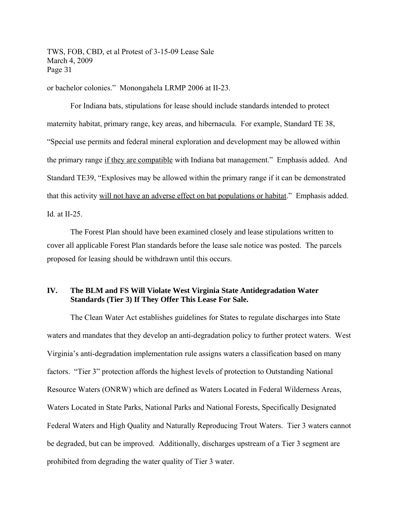or bachelor colonies." Monongahela LRMP 2006 at II-23.

For Indiana bats, stipulations for lease should include standards intended to protect maternity habitat, primary range, key areas, and hibernacula. For example, Standard TE 38, "Special use permits and federal mineral exploration and development may be allowed within the primary range if they are compatible with Indiana bat management." Emphasis added. And Standard TE39, "Explosives may be allowed within the primary range if it can be demonstrated that this activity will not have an adverse effect on bat populations or habitat." Emphasis added. Id. at II-25.

The Forest Plan should have been examined closely and lease stipulations written to cover all applicable Forest Plan standards before the lease sale notice was posted. The parcels proposed for leasing should be withdrawn until this occurs.

# **IV. The BLM and FS Will Violate West Virginia State Antidegradation Water Standards (Tier 3) If They Offer This Lease For Sale.**

The Clean Water Act establishes guidelines for States to regulate discharges into State waters and mandates that they develop an anti-degradation policy to further protect waters. West Virginia's anti-degradation implementation rule assigns waters a classification based on many factors. "Tier 3" protection affords the highest levels of protection to Outstanding National Resource Waters (ONRW) which are defined as Waters Located in Federal Wilderness Areas, Waters Located in State Parks, National Parks and National Forests, Specifically Designated Federal Waters and High Quality and Naturally Reproducing Trout Waters. Tier 3 waters cannot be degraded, but can be improved. Additionally, discharges upstream of a Tier 3 segment are prohibited from degrading the water quality of Tier 3 water.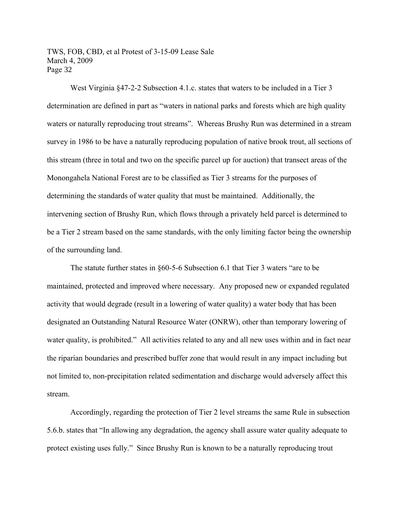West Virginia §47-2-2 Subsection 4.1.c. states that waters to be included in a Tier 3 determination are defined in part as "waters in national parks and forests which are high quality waters or naturally reproducing trout streams". Whereas Brushy Run was determined in a stream survey in 1986 to be have a naturally reproducing population of native brook trout, all sections of this stream (three in total and two on the specific parcel up for auction) that transect areas of the Monongahela National Forest are to be classified as Tier 3 streams for the purposes of determining the standards of water quality that must be maintained. Additionally, the intervening section of Brushy Run, which flows through a privately held parcel is determined to be a Tier 2 stream based on the same standards, with the only limiting factor being the ownership of the surrounding land.

The statute further states in §60-5-6 Subsection 6.1 that Tier 3 waters "are to be maintained, protected and improved where necessary. Any proposed new or expanded regulated activity that would degrade (result in a lowering of water quality) a water body that has been designated an Outstanding Natural Resource Water (ONRW), other than temporary lowering of water quality, is prohibited." All activities related to any and all new uses within and in fact near the riparian boundaries and prescribed buffer zone that would result in any impact including but not limited to, non-precipitation related sedimentation and discharge would adversely affect this stream.

Accordingly, regarding the protection of Tier 2 level streams the same Rule in subsection 5.6.b. states that "In allowing any degradation, the agency shall assure water quality adequate to protect existing uses fully." Since Brushy Run is known to be a naturally reproducing trout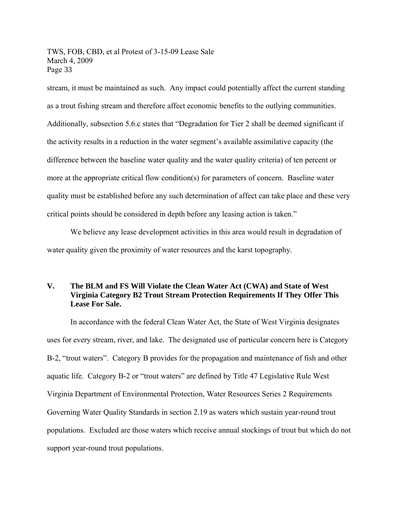stream, it must be maintained as such. Any impact could potentially affect the current standing as a trout fishing stream and therefore affect economic benefits to the outlying communities. Additionally, subsection 5.6.c states that "Degradation for Tier 2 shall be deemed significant if the activity results in a reduction in the water segment's available assimilative capacity (the difference between the baseline water quality and the water quality criteria) of ten percent or more at the appropriate critical flow condition(s) for parameters of concern. Baseline water quality must be established before any such determination of affect can take place and these very critical points should be considered in depth before any leasing action is taken."

We believe any lease development activities in this area would result in degradation of water quality given the proximity of water resources and the karst topography.

# **V. The BLM and FS Will Violate the Clean Water Act (CWA) and State of West Virginia Category B2 Trout Stream Protection Requirements If They Offer This Lease For Sale.**

In accordance with the federal Clean Water Act, the State of West Virginia designates uses for every stream, river, and lake. The designated use of particular concern here is Category B-2, "trout waters". Category B provides for the propagation and maintenance of fish and other aquatic life. Category B-2 or "trout waters" are defined by Title 47 Legislative Rule West Virginia Department of Environmental Protection, Water Resources Series 2 Requirements Governing Water Quality Standards in section 2.19 as waters which sustain year-round trout populations. Excluded are those waters which receive annual stockings of trout but which do not support year-round trout populations.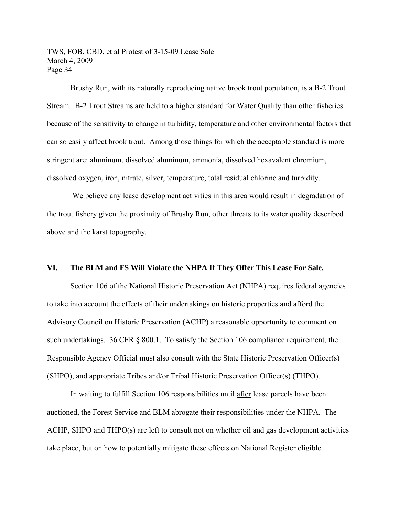Brushy Run, with its naturally reproducing native brook trout population, is a B-2 Trout Stream. B-2 Trout Streams are held to a higher standard for Water Quality than other fisheries because of the sensitivity to change in turbidity, temperature and other environmental factors that can so easily affect brook trout. Among those things for which the acceptable standard is more stringent are: aluminum, dissolved aluminum, ammonia, dissolved hexavalent chromium, dissolved oxygen, iron, nitrate, silver, temperature, total residual chlorine and turbidity.

We believe any lease development activities in this area would result in degradation of the trout fishery given the proximity of Brushy Run, other threats to its water quality described above and the karst topography.

#### **VI. The BLM and FS Will Violate the NHPA If They Offer This Lease For Sale.**

Section 106 of the National Historic Preservation Act (NHPA) requires federal agencies to take into account the effects of their undertakings on historic properties and afford the Advisory Council on Historic Preservation (ACHP) a reasonable opportunity to comment on such undertakings. 36 CFR § 800.1. To satisfy the Section 106 compliance requirement, the Responsible Agency Official must also consult with the State Historic Preservation Officer(s) (SHPO), and appropriate Tribes and/or Tribal Historic Preservation Officer(s) (THPO).

In waiting to fulfill Section 106 responsibilities until after lease parcels have been auctioned, the Forest Service and BLM abrogate their responsibilities under the NHPA. The ACHP, SHPO and THPO(s) are left to consult not on whether oil and gas development activities take place, but on how to potentially mitigate these effects on National Register eligible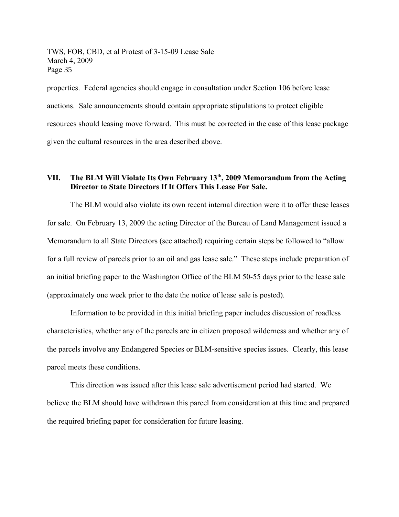properties. Federal agencies should engage in consultation under Section 106 before lease auctions. Sale announcements should contain appropriate stipulations to protect eligible resources should leasing move forward. This must be corrected in the case of this lease package given the cultural resources in the area described above.

# **VII. The BLM Will Violate Its Own February 13th, 2009 Memorandum from the Acting Director to State Directors If It Offers This Lease For Sale.**

The BLM would also violate its own recent internal direction were it to offer these leases for sale. On February 13, 2009 the acting Director of the Bureau of Land Management issued a Memorandum to all State Directors (see attached) requiring certain steps be followed to "allow for a full review of parcels prior to an oil and gas lease sale." These steps include preparation of an initial briefing paper to the Washington Office of the BLM 50-55 days prior to the lease sale (approximately one week prior to the date the notice of lease sale is posted).

Information to be provided in this initial briefing paper includes discussion of roadless characteristics, whether any of the parcels are in citizen proposed wilderness and whether any of the parcels involve any Endangered Species or BLM-sensitive species issues. Clearly, this lease parcel meets these conditions.

This direction was issued after this lease sale advertisement period had started. We believe the BLM should have withdrawn this parcel from consideration at this time and prepared the required briefing paper for consideration for future leasing.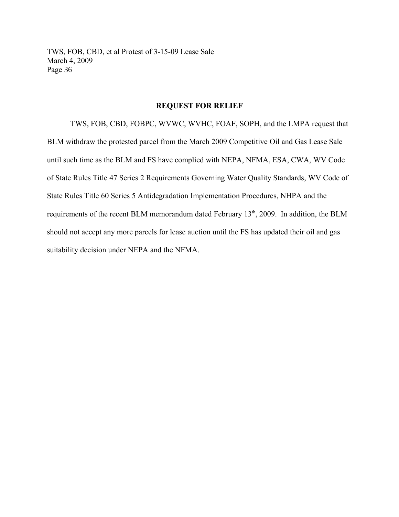#### **REQUEST FOR RELIEF**

TWS, FOB, CBD, FOBPC, WVWC, WVHC, FOAF, SOPH, and the LMPA request that BLM withdraw the protested parcel from the March 2009 Competitive Oil and Gas Lease Sale until such time as the BLM and FS have complied with NEPA, NFMA, ESA, CWA, WV Code of State Rules Title 47 Series 2 Requirements Governing Water Quality Standards, WV Code of State Rules Title 60 Series 5 Antidegradation Implementation Procedures, NHPA and the requirements of the recent BLM memorandum dated February 13<sup>th</sup>, 2009. In addition, the BLM should not accept any more parcels for lease auction until the FS has updated their oil and gas suitability decision under NEPA and the NFMA.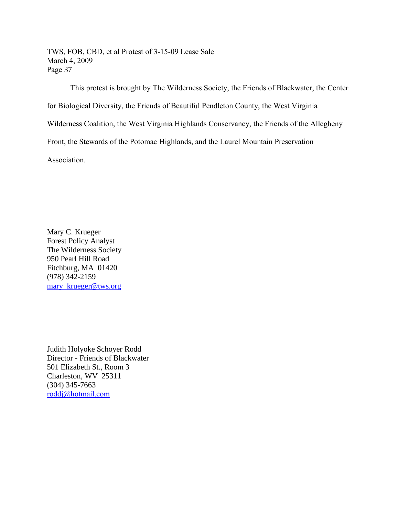This protest is brought by The Wilderness Society, the Friends of Blackwater, the Center for Biological Diversity, the Friends of Beautiful Pendleton County, the West Virginia Wilderness Coalition, the West Virginia Highlands Conservancy, the Friends of the Allegheny Front, the Stewards of the Potomac Highlands, and the Laurel Mountain Preservation Association.

Mary C. Krueger Forest Policy Analyst The Wilderness Society 950 Pearl Hill Road Fitchburg, MA 01420 (978) 342-2159 [mary\\_krueger@tws.org](mailto:mary_krueger@tws.org)

Judith Holyoke Schoyer Rodd Director - Friends of Blackwater 501 Elizabeth St., Room 3 Charleston, WV 25311 (304) 345-7663 [roddj@hotmail.com](mailto:roddj@hotmail.com)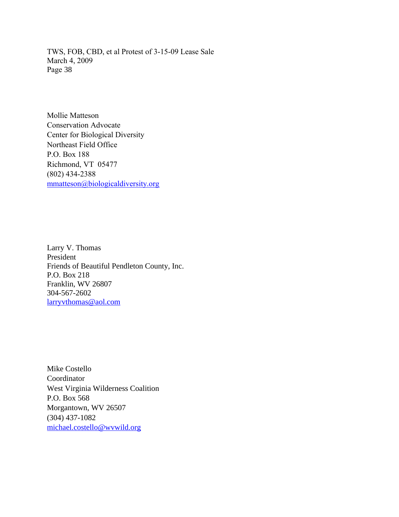Mollie Matteson Conservation Advocate Center for Biological Diversity Northeast Field Office P.O. Box 188 Richmond, VT 05477 (802) 434-2388 [mmatteson@biologicaldiversity.org](mailto:mmatteson@biologicaldiversity.org)

Larry V. Thomas President Friends of Beautiful Pendleton County, Inc. P.O. Box 218 Franklin, WV 26807 304-567-2602 [larryvthomas@aol.com](mailto:larryvthomas@aol.com)

Mike Costello Coordinator West Virginia Wilderness Coalition P.O. Box 568 Morgantown, WV 26507 (304) 437-1082 [michael.costello@wvwild.org](mailto:michael.costello@wvwild.org)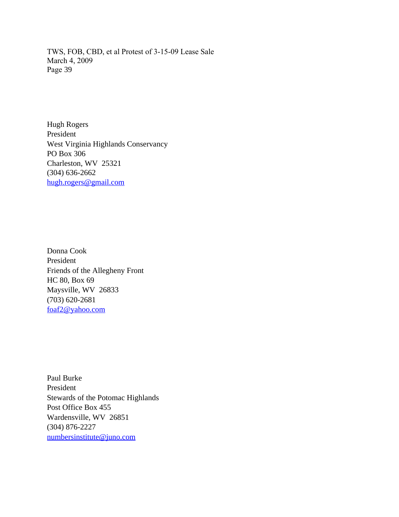Hugh Rogers President West Virginia Highlands Conservancy PO Box 306 Charleston, WV 25321 (304) 636-2662 [hugh.rogers@gmail.com](mailto:hugh.rogers@gmail.com)

Donna Cook President Friends of the Allegheny Front HC 80, Box 69 Maysville, WV 26833 (703) 620-2681 [foaf2@yahoo.com](mailto:foaf2@yahoo.com)

Paul Burke President Stewards of the Potomac Highlands Post Office Box 455 Wardensville, WV 26851 (304) 876-2227 [numbersinstitute@juno.com](mailto:numbersinstitute@juno.com)